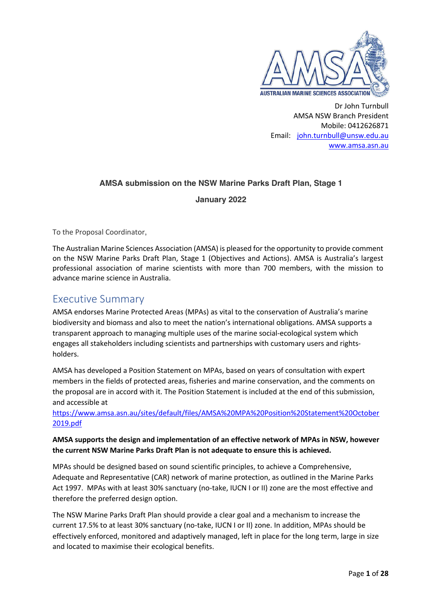

Dr John Turnbull AMSA NSW Branch President Mobile: 0412626871 Email: john.turnbull@unsw.edu.au www.amsa.asn.au

### **AMSA submission on the NSW Marine Parks Draft Plan, Stage 1**

### **January 2022**

To the Proposal Coordinator,

The Australian Marine Sciences Association (AMSA) is pleased for the opportunity to provide comment on the NSW Marine Parks Draft Plan, Stage 1 (Objectives and Actions). AMSA is Australia's largest professional association of marine scientists with more than 700 members, with the mission to advance marine science in Australia.

### Executive Summary

AMSA endorses Marine Protected Areas (MPAs) as vital to the conservation of Australia's marine biodiversity and biomass and also to meet the nation's international obligations. AMSA supports a transparent approach to managing multiple uses of the marine social-ecological system which engages all stakeholders including scientists and partnerships with customary users and rightsholders.

AMSA has developed a Position Statement on MPAs, based on years of consultation with expert members in the fields of protected areas, fisheries and marine conservation, and the comments on the proposal are in accord with it. The Position Statement is included at the end of this submission, and accessible at

https://www.amsa.asn.au/sites/default/files/AMSA%20MPA%20Position%20Statement%20October 2019.pdf

### **AMSA supports the design and implementation of an effective network of MPAs in NSW, however the current NSW Marine Parks Draft Plan is not adequate to ensure this is achieved.**

MPAs should be designed based on sound scientific principles, to achieve a Comprehensive, Adequate and Representative (CAR) network of marine protection, as outlined in the Marine Parks Act 1997. MPAs with at least 30% sanctuary (no-take, IUCN I or II) zone are the most effective and therefore the preferred design option.

The NSW Marine Parks Draft Plan should provide a clear goal and a mechanism to increase the current 17.5% to at least 30% sanctuary (no-take, IUCN I or II) zone. In addition, MPAs should be effectively enforced, monitored and adaptively managed, left in place for the long term, large in size and located to maximise their ecological benefits.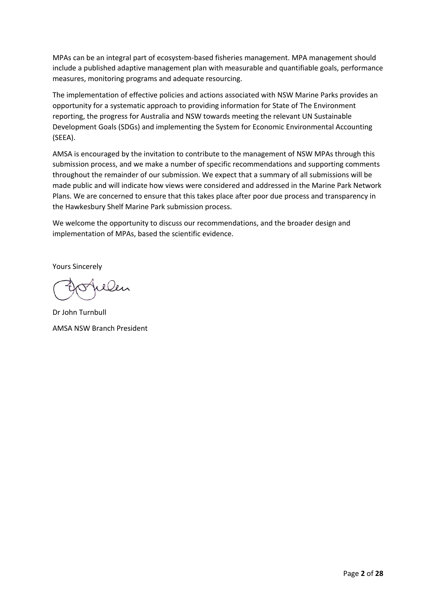MPAs can be an integral part of ecosystem-based fisheries management. MPA management should include a published adaptive management plan with measurable and quantifiable goals, performance measures, monitoring programs and adequate resourcing.

The implementation of effective policies and actions associated with NSW Marine Parks provides an opportunity for a systematic approach to providing information for State of The Environment reporting, the progress for Australia and NSW towards meeting the relevant UN Sustainable Development Goals (SDGs) and implementing the System for Economic Environmental Accounting (SEEA).

AMSA is encouraged by the invitation to contribute to the management of NSW MPAs through this submission process, and we make a number of specific recommendations and supporting comments throughout the remainder of our submission. We expect that a summary of all submissions will be made public and will indicate how views were considered and addressed in the Marine Park Network Plans. We are concerned to ensure that this takes place after poor due process and transparency in the Hawkesbury Shelf Marine Park submission process.

We welcome the opportunity to discuss our recommendations, and the broader design and implementation of MPAs, based the scientific evidence.

Yours Sincerely

elen

Dr John Turnbull AMSA NSW Branch President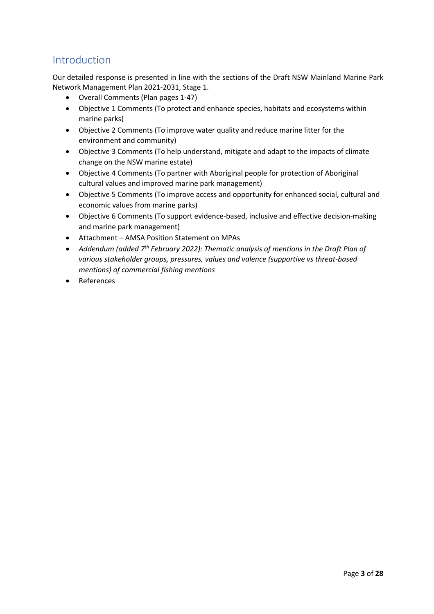### Introduction

Our detailed response is presented in line with the sections of the Draft NSW Mainland Marine Park Network Management Plan 2021-2031, Stage 1.

- Overall Comments (Plan pages 1-47)
- Objective 1 Comments (To protect and enhance species, habitats and ecosystems within marine parks)
- Objective 2 Comments (To improve water quality and reduce marine litter for the environment and community)
- Objective 3 Comments (To help understand, mitigate and adapt to the impacts of climate change on the NSW marine estate)
- Objective 4 Comments (To partner with Aboriginal people for protection of Aboriginal cultural values and improved marine park management)
- Objective 5 Comments (To improve access and opportunity for enhanced social, cultural and economic values from marine parks)
- Objective 6 Comments (To support evidence-based, inclusive and effective decision-making and marine park management)
- Attachment AMSA Position Statement on MPAs
- *Addendum (added 7th February 2022): Thematic analysis of mentions in the Draft Plan of various stakeholder groups, pressures, values and valence (supportive vs threat-based mentions) of commercial fishing mentions*
- References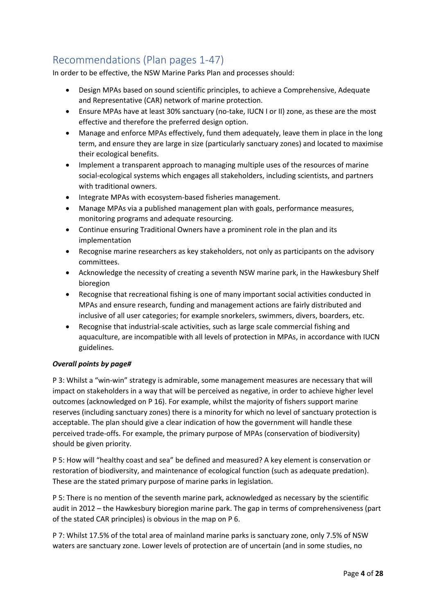## Recommendations (Plan pages 1-47)

In order to be effective, the NSW Marine Parks Plan and processes should:

- Design MPAs based on sound scientific principles, to achieve a Comprehensive, Adequate and Representative (CAR) network of marine protection.
- Ensure MPAs have at least 30% sanctuary (no-take, IUCN I or II) zone, as these are the most effective and therefore the preferred design option.
- Manage and enforce MPAs effectively, fund them adequately, leave them in place in the long term, and ensure they are large in size (particularly sanctuary zones) and located to maximise their ecological benefits.
- Implement a transparent approach to managing multiple uses of the resources of marine social-ecological systems which engages all stakeholders, including scientists, and partners with traditional owners.
- Integrate MPAs with ecosystem-based fisheries management.
- Manage MPAs via a published management plan with goals, performance measures, monitoring programs and adequate resourcing.
- Continue ensuring Traditional Owners have a prominent role in the plan and its implementation
- Recognise marine researchers as key stakeholders, not only as participants on the advisory committees.
- Acknowledge the necessity of creating a seventh NSW marine park, in the Hawkesbury Shelf bioregion
- Recognise that recreational fishing is one of many important social activities conducted in MPAs and ensure research, funding and management actions are fairly distributed and inclusive of all user categories; for example snorkelers, swimmers, divers, boarders, etc.
- Recognise that industrial-scale activities, such as large scale commercial fishing and aquaculture, are incompatible with all levels of protection in MPAs, in accordance with IUCN guidelines.

### *Overall points by page#*

P 3: Whilst a "win-win" strategy is admirable, some management measures are necessary that will impact on stakeholders in a way that will be perceived as negative, in order to achieve higher level outcomes (acknowledged on P 16). For example, whilst the majority of fishers support marine reserves (including sanctuary zones) there is a minority for which no level of sanctuary protection is acceptable. The plan should give a clear indication of how the government will handle these perceived trade-offs. For example, the primary purpose of MPAs (conservation of biodiversity) should be given priority.

P 5: How will "healthy coast and sea" be defined and measured? A key element is conservation or restoration of biodiversity, and maintenance of ecological function (such as adequate predation). These are the stated primary purpose of marine parks in legislation.

P 5: There is no mention of the seventh marine park, acknowledged as necessary by the scientific audit in 2012 – the Hawkesbury bioregion marine park. The gap in terms of comprehensiveness (part of the stated CAR principles) is obvious in the map on P 6.

P 7: Whilst 17.5% of the total area of mainland marine parks is sanctuary zone, only 7.5% of NSW waters are sanctuary zone. Lower levels of protection are of uncertain (and in some studies, no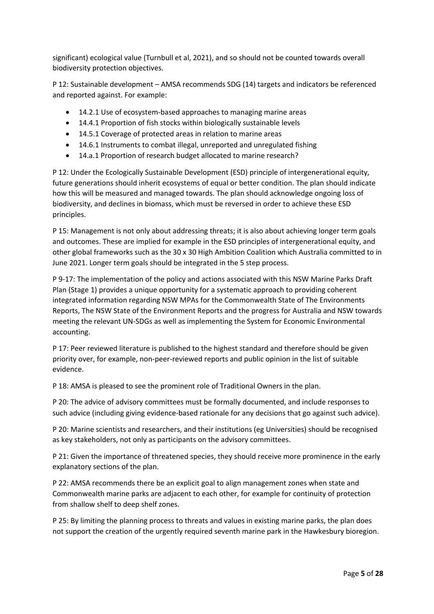significant) ecological value (Turnbull et al, 2021), and so should not be counted towards overall biodiversity protection objectives.

P 12: Sustainable development – AMSA recommends SDG (14) targets and indicators be referenced and reported against. For example:

- 14.2.1 Use of ecosystem-based approaches to managing marine areas
- 14.4.1 Proportion of fish stocks within biologically sustainable levels
- 14.5.1 Coverage of protected areas in relation to marine areas
- 14.6.1 Instruments to combat illegal, unreported and unregulated fishing
- 14.a.1 Proportion of research budget allocated to marine research?

P 12: Under the Ecologically Sustainable Development (ESD) principle of intergenerational equity, future generations should inherit ecosystems of equal or better condition. The plan should indicate how this will be measured and managed towards. The plan should acknowledge ongoing loss of biodiversity, and declines in biomass, which must be reversed in order to achieve these ESD principles.

P 15: Management is not only about addressing threats; it is also about achieving longer term goals and outcomes. These are implied for example in the ESD principles of intergenerational equity, and other global frameworks such as the 30 x 30 High Ambition Coalition which Australia committed to in June 2021. Longer term goals should be integrated in the 5 step process.

P 9-17: The implementation of the policy and actions associated with this NSW Marine Parks Draft Plan (Stage 1) provides a unique opportunity for a systematic approach to providing coherent integrated information regarding NSW MPAs for the Commonwealth State of The Environments Reports, The NSW State of the Environment Reports and the progress for Australia and NSW towards meeting the relevant UN-SDGs as well as implementing the System for Economic Environmental accounting.

P 17: Peer reviewed literature is published to the highest standard and therefore should be given priority over, for example, non-peer-reviewed reports and public opinion in the list of suitable evidence.

P 18: AMSA is pleased to see the prominent role of Traditional Owners in the plan.

P 20: The advice of advisory committees must be formally documented, and include responses to such advice (including giving evidence-based rationale for any decisions that go against such advice).

P 20: Marine scientists and researchers, and their institutions (eg Universities) should be recognised as key stakeholders, not only as participants on the advisory committees.

P 21: Given the importance of threatened species, they should receive more prominence in the early explanatory sections of the plan.

P 22: AMSA recommends there be an explicit goal to align management zones when state and Commonwealth marine parks are adjacent to each other, for example for continuity of protection from shallow shelf to deep shelf zones.

P 25: By limiting the planning process to threats and values in existing marine parks, the plan does not support the creation of the urgently required seventh marine park in the Hawkesbury bioregion.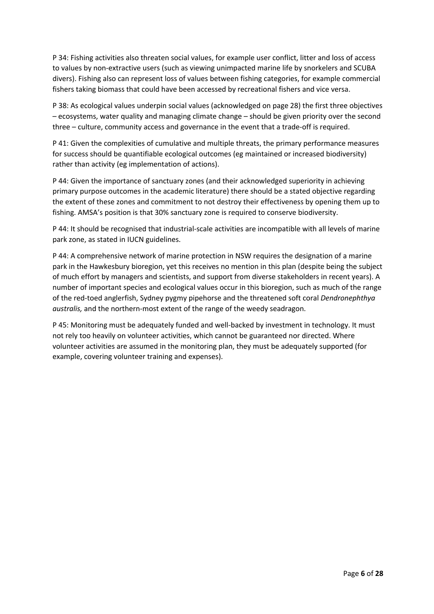P 34: Fishing activities also threaten social values, for example user conflict, litter and loss of access to values by non-extractive users (such as viewing unimpacted marine life by snorkelers and SCUBA divers). Fishing also can represent loss of values between fishing categories, for example commercial fishers taking biomass that could have been accessed by recreational fishers and vice versa.

P 38: As ecological values underpin social values (acknowledged on page 28) the first three objectives – ecosystems, water quality and managing climate change – should be given priority over the second three – culture, community access and governance in the event that a trade-off is required.

P 41: Given the complexities of cumulative and multiple threats, the primary performance measures for success should be quantifiable ecological outcomes (eg maintained or increased biodiversity) rather than activity (eg implementation of actions).

P 44: Given the importance of sanctuary zones (and their acknowledged superiority in achieving primary purpose outcomes in the academic literature) there should be a stated objective regarding the extent of these zones and commitment to not destroy their effectiveness by opening them up to fishing. AMSA's position is that 30% sanctuary zone is required to conserve biodiversity.

P 44: It should be recognised that industrial-scale activities are incompatible with all levels of marine park zone, as stated in IUCN guidelines.

P 44: A comprehensive network of marine protection in NSW requires the designation of a marine park in the Hawkesbury bioregion, yet this receives no mention in this plan (despite being the subject of much effort by managers and scientists, and support from diverse stakeholders in recent years). A number of important species and ecological values occur in this bioregion, such as much of the range of the red-toed anglerfish, Sydney pygmy pipehorse and the threatened soft coral *Dendronephthya australis,* and the northern-most extent of the range of the weedy seadragon.

P 45: Monitoring must be adequately funded and well-backed by investment in technology. It must not rely too heavily on volunteer activities, which cannot be guaranteed nor directed. Where volunteer activities are assumed in the monitoring plan, they must be adequately supported (for example, covering volunteer training and expenses).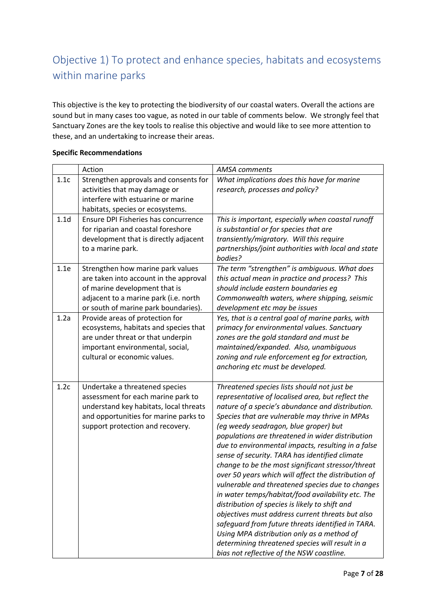## Objective 1) To protect and enhance species, habitats and ecosystems within marine parks

This objective is the key to protecting the biodiversity of our coastal waters. Overall the actions are sound but in many cases too vague, as noted in our table of comments below. We strongly feel that Sanctuary Zones are the key tools to realise this objective and would like to see more attention to these, and an undertaking to increase their areas.

|                  | Action                                                                                                                                                                                        | <b>AMSA</b> comments                                                                                                                                                                                                                                                                                                                                                                                                                                                                                                                                                                                                                                                                                                                                                                                                                                                                                                                      |
|------------------|-----------------------------------------------------------------------------------------------------------------------------------------------------------------------------------------------|-------------------------------------------------------------------------------------------------------------------------------------------------------------------------------------------------------------------------------------------------------------------------------------------------------------------------------------------------------------------------------------------------------------------------------------------------------------------------------------------------------------------------------------------------------------------------------------------------------------------------------------------------------------------------------------------------------------------------------------------------------------------------------------------------------------------------------------------------------------------------------------------------------------------------------------------|
| 1.1c             | Strengthen approvals and consents for<br>activities that may damage or<br>interfere with estuarine or marine<br>habitats, species or ecosystems.                                              | What implications does this have for marine<br>research, processes and policy?                                                                                                                                                                                                                                                                                                                                                                                                                                                                                                                                                                                                                                                                                                                                                                                                                                                            |
| 1.1 <sub>d</sub> | Ensure DPI Fisheries has concurrence<br>for riparian and coastal foreshore<br>development that is directly adjacent<br>to a marine park.                                                      | This is important, especially when coastal runoff<br>is substantial or for species that are<br>transiently/migratory. Will this require<br>partnerships/joint authorities with local and state<br>bodies?                                                                                                                                                                                                                                                                                                                                                                                                                                                                                                                                                                                                                                                                                                                                 |
| 1.1e             | Strengthen how marine park values<br>are taken into account in the approval<br>of marine development that is<br>adjacent to a marine park (i.e. north<br>or south of marine park boundaries). | The term "strengthen" is ambiguous. What does<br>this actual mean in practice and process? This<br>should include eastern boundaries eg<br>Commonwealth waters, where shipping, seismic<br>development etc may be issues                                                                                                                                                                                                                                                                                                                                                                                                                                                                                                                                                                                                                                                                                                                  |
| 1.2a             | Provide areas of protection for<br>ecosystems, habitats and species that<br>are under threat or that underpin<br>important environmental, social,<br>cultural or economic values.             | Yes, that is a central goal of marine parks, with<br>primacy for environmental values. Sanctuary<br>zones are the gold standard and must be<br>maintained/expanded. Also, unambiguous<br>zoning and rule enforcement eg for extraction,<br>anchoring etc must be developed.                                                                                                                                                                                                                                                                                                                                                                                                                                                                                                                                                                                                                                                               |
| 1.2c             | Undertake a threatened species<br>assessment for each marine park to<br>understand key habitats, local threats<br>and opportunities for marine parks to<br>support protection and recovery.   | Threatened species lists should not just be<br>representative of localised area, but reflect the<br>nature of a specie's abundance and distribution.<br>Species that are vulnerable may thrive in MPAs<br>(eg weedy seadragon, blue groper) but<br>populations are threatened in wider distribution<br>due to environmental impacts, resulting in a false<br>sense of security. TARA has identified climate<br>change to be the most significant stressor/threat<br>over 50 years which will affect the distribution of<br>vulnerable and threatened species due to changes<br>in water temps/habitat/food availability etc. The<br>distribution of species is likely to shift and<br>objectives must address current threats but also<br>safeguard from future threats identified in TARA.<br>Using MPA distribution only as a method of<br>determining threatened species will result in a<br>bias not reflective of the NSW coastline. |

### **Specific Recommendations**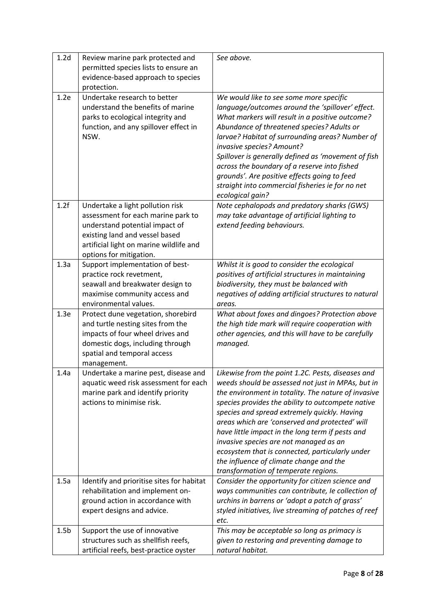| 1.2 <sub>d</sub> | Review marine park protected and<br>permitted species lists to ensure an<br>evidence-based approach to species<br>protection.                                                                                    | See above.                                                                                                                                                                                                                                                                                                                                                                                                                                                                                                                                               |
|------------------|------------------------------------------------------------------------------------------------------------------------------------------------------------------------------------------------------------------|----------------------------------------------------------------------------------------------------------------------------------------------------------------------------------------------------------------------------------------------------------------------------------------------------------------------------------------------------------------------------------------------------------------------------------------------------------------------------------------------------------------------------------------------------------|
| 1.2e             | Undertake research to better<br>understand the benefits of marine<br>parks to ecological integrity and<br>function, and any spillover effect in<br>NSW.                                                          | We would like to see some more specific<br>language/outcomes around the 'spillover' effect.<br>What markers will result in a positive outcome?<br>Abundance of threatened species? Adults or<br>larvae? Habitat of surrounding areas? Number of<br>invasive species? Amount?<br>Spillover is generally defined as 'movement of fish<br>across the boundary of a reserve into fished<br>grounds'. Are positive effects going to feed<br>straight into commercial fisheries ie for no net<br>ecological gain?                                              |
| 1.2f             | Undertake a light pollution risk<br>assessment for each marine park to<br>understand potential impact of<br>existing land and vessel based<br>artificial light on marine wildlife and<br>options for mitigation. | Note cephalopods and predatory sharks (GWS)<br>may take advantage of artificial lighting to<br>extend feeding behaviours.                                                                                                                                                                                                                                                                                                                                                                                                                                |
| 1.3a             | Support implementation of best-<br>practice rock revetment,<br>seawall and breakwater design to<br>maximise community access and<br>environmental values.                                                        | Whilst it is good to consider the ecological<br>positives of artificial structures in maintaining<br>biodiversity, they must be balanced with<br>negatives of adding artificial structures to natural<br>areas.                                                                                                                                                                                                                                                                                                                                          |
| 1.3e             | Protect dune vegetation, shorebird<br>and turtle nesting sites from the<br>impacts of four wheel drives and<br>domestic dogs, including through<br>spatial and temporal access<br>management.                    | What about foxes and dingoes? Protection above<br>the high tide mark will require cooperation with<br>other agencies, and this will have to be carefully<br>managed.                                                                                                                                                                                                                                                                                                                                                                                     |
| 1.4a             | Undertake a marine pest, disease and<br>aquatic weed risk assessment for each<br>marine park and identify priority<br>actions to minimise risk.                                                                  | Likewise from the point 1.2C. Pests, diseases and<br>weeds should be assessed not just in MPAs, but in<br>the environment in totality. The nature of invasive<br>species provides the ability to outcompete native<br>species and spread extremely quickly. Having<br>areas which are 'conserved and protected' will<br>have little impact in the long term if pests and<br>invasive species are not managed as an<br>ecosystem that is connected, particularly under<br>the influence of climate change and the<br>transformation of temperate regions. |
| 1.5a             | Identify and prioritise sites for habitat<br>rehabilitation and implement on-<br>ground action in accordance with                                                                                                | Consider the opportunity for citizen science and<br>ways communities can contribute, le collection of<br>urchins in barrens or 'adopt a patch of grass'                                                                                                                                                                                                                                                                                                                                                                                                  |
|                  | expert designs and advice.                                                                                                                                                                                       | styled initiatives, live streaming of patches of reef<br>etc.                                                                                                                                                                                                                                                                                                                                                                                                                                                                                            |
| 1.5 <sub>b</sub> | Support the use of innovative<br>structures such as shellfish reefs,<br>artificial reefs, best-practice oyster                                                                                                   | This may be acceptable so long as primacy is<br>given to restoring and preventing damage to<br>natural habitat.                                                                                                                                                                                                                                                                                                                                                                                                                                          |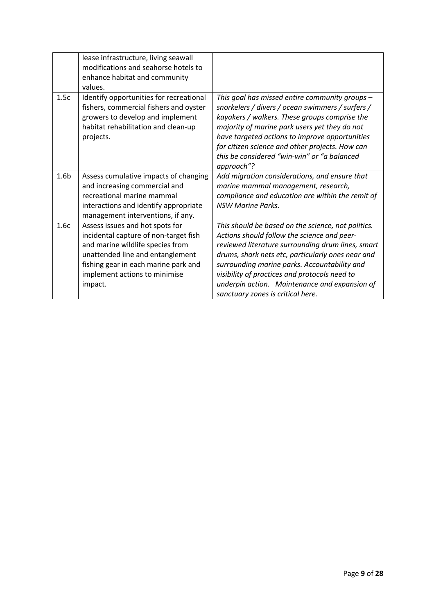|                  | lease infrastructure, living seawall<br>modifications and seahorse hotels to<br>enhance habitat and community<br>values.                                                                                                             |                                                                                                                                                                                                                                                                                                                                                                                                    |
|------------------|--------------------------------------------------------------------------------------------------------------------------------------------------------------------------------------------------------------------------------------|----------------------------------------------------------------------------------------------------------------------------------------------------------------------------------------------------------------------------------------------------------------------------------------------------------------------------------------------------------------------------------------------------|
| 1.5c             | Identify opportunities for recreational<br>fishers, commercial fishers and oyster<br>growers to develop and implement<br>habitat rehabilitation and clean-up<br>projects.                                                            | This goal has missed entire community groups -<br>snorkelers / divers / ocean swimmers / surfers /<br>kayakers / walkers. These groups comprise the<br>majority of marine park users yet they do not<br>have targeted actions to improve opportunities<br>for citizen science and other projects. How can<br>this be considered "win-win" or "a balanced<br>approach"?                             |
| 1.6 <sub>b</sub> | Assess cumulative impacts of changing<br>and increasing commercial and<br>recreational marine mammal<br>interactions and identify appropriate<br>management interventions, if any.                                                   | Add migration considerations, and ensure that<br>marine mammal management, research,<br>compliance and education are within the remit of<br><b>NSW Marine Parks.</b>                                                                                                                                                                                                                               |
| 1.6c             | Assess issues and hot spots for<br>incidental capture of non-target fish<br>and marine wildlife species from<br>unattended line and entanglement<br>fishing gear in each marine park and<br>implement actions to minimise<br>impact. | This should be based on the science, not politics.<br>Actions should follow the science and peer-<br>reviewed literature surrounding drum lines, smart<br>drums, shark nets etc, particularly ones near and<br>surrounding marine parks. Accountability and<br>visibility of practices and protocols need to<br>underpin action. Maintenance and expansion of<br>sanctuary zones is critical here. |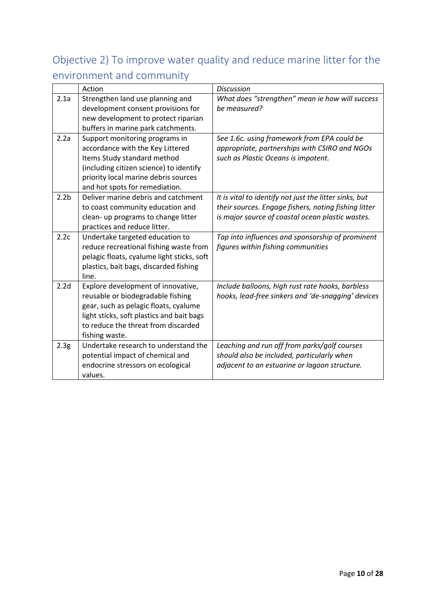# Objective 2) To improve water quality and reduce marine litter for the environment and community

|                  | Action                                     | <b>Discussion</b>                                      |
|------------------|--------------------------------------------|--------------------------------------------------------|
| 2.1a             | Strengthen land use planning and           | What does "strengthen" mean ie how will success        |
|                  | development consent provisions for         | be measured?                                           |
|                  | new development to protect riparian        |                                                        |
|                  | buffers in marine park catchments.         |                                                        |
| 2.2a             | Support monitoring programs in             | See 1.6c. using framework from EPA could be            |
|                  | accordance with the Key Littered           | appropriate, partnerships with CSIRO and NGOs          |
|                  | Items Study standard method                | such as Plastic Oceans is impotent.                    |
|                  | (including citizen science) to identify    |                                                        |
|                  | priority local marine debris sources       |                                                        |
|                  | and hot spots for remediation.             |                                                        |
| 2.2 <sub>b</sub> | Deliver marine debris and catchment        | It is vital to identify not just the litter sinks, but |
|                  | to coast community education and           | their sources. Engage fishers, noting fishing litter   |
|                  | clean- up programs to change litter        | is major source of coastal ocean plastic wastes.       |
|                  | practices and reduce litter.               |                                                        |
| 2.2c             | Undertake targeted education to            | Tap into influences and sponsorship of prominent       |
|                  | reduce recreational fishing waste from     | figures within fishing communities                     |
|                  | pelagic floats, cyalume light sticks, soft |                                                        |
|                  | plastics, bait bags, discarded fishing     |                                                        |
|                  | line.                                      |                                                        |
| 2.2d             | Explore development of innovative,         | Include balloons, high rust rate hooks, barbless       |
|                  | reusable or biodegradable fishing          | hooks, lead-free sinkers and 'de-snagging' devices     |
|                  | gear, such as pelagic floats, cyalume      |                                                        |
|                  | light sticks, soft plastics and bait bags  |                                                        |
|                  | to reduce the threat from discarded        |                                                        |
|                  | fishing waste.                             |                                                        |
| 2.3 <sub>g</sub> | Undertake research to understand the       | Leaching and run off from parks/golf courses           |
|                  | potential impact of chemical and           | should also be included, particularly when             |
|                  | endocrine stressors on ecological          | adjacent to an estuarine or lagoon structure.          |
|                  | values.                                    |                                                        |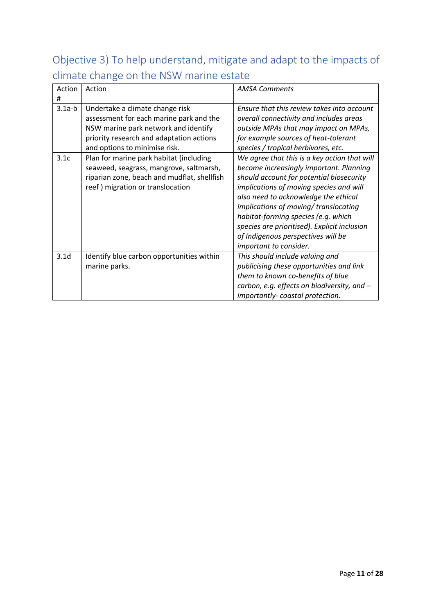# Objective 3) To help understand, mitigate and adapt to the impacts of climate change on the NSW marine estate

| Action<br>#      | Action                                                                                                                                                                                          | <b>AMSA Comments</b>                                                                                                                                                                                                                                                                                                                                                                                                  |
|------------------|-------------------------------------------------------------------------------------------------------------------------------------------------------------------------------------------------|-----------------------------------------------------------------------------------------------------------------------------------------------------------------------------------------------------------------------------------------------------------------------------------------------------------------------------------------------------------------------------------------------------------------------|
| $3.1a-b$         | Undertake a climate change risk<br>assessment for each marine park and the<br>NSW marine park network and identify<br>priority research and adaptation actions<br>and options to minimise risk. | Ensure that this review takes into account<br>overall connectivity and includes areas<br>outside MPAs that may impact on MPAs,<br>for example sources of heat-tolerant<br>species / tropical herbivores, etc.                                                                                                                                                                                                         |
| 3.1c             | Plan for marine park habitat (including<br>seaweed, seagrass, mangrove, saltmarsh,<br>riparian zone, beach and mudflat, shellfish<br>reef) migration or translocation                           | We agree that this is a key action that will<br>become increasingly important. Planning<br>should account for potential biosecurity<br>implications of moving species and will<br>also need to acknowledge the ethical<br>implications of moving/translocating<br>habitat-forming species (e.g. which<br>species are prioritised). Explicit inclusion<br>of Indigenous perspectives will be<br>important to consider. |
| 3.1 <sub>d</sub> | Identify blue carbon opportunities within<br>marine parks.                                                                                                                                      | This should include valuing and<br>publicising these opportunities and link<br>them to known co-benefits of blue<br>carbon, e.g. effects on biodiversity, and -<br>importantly-coastal protection.                                                                                                                                                                                                                    |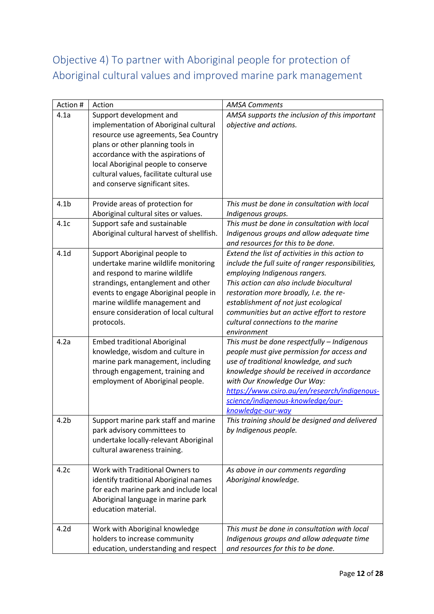# Objective 4) To partner with Aboriginal people for protection of Aboriginal cultural values and improved marine park management

| Action #         | Action                                    | <b>AMSA Comments</b>                               |
|------------------|-------------------------------------------|----------------------------------------------------|
| 4.1a             | Support development and                   | AMSA supports the inclusion of this important      |
|                  | implementation of Aboriginal cultural     | objective and actions.                             |
|                  | resource use agreements, Sea Country      |                                                    |
|                  | plans or other planning tools in          |                                                    |
|                  | accordance with the aspirations of        |                                                    |
|                  | local Aboriginal people to conserve       |                                                    |
|                  | cultural values, facilitate cultural use  |                                                    |
|                  | and conserve significant sites.           |                                                    |
|                  |                                           |                                                    |
| 4.1 <sub>b</sub> | Provide areas of protection for           | This must be done in consultation with local       |
|                  | Aboriginal cultural sites or values.      | Indigenous groups.                                 |
| 4.1c             | Support safe and sustainable              | This must be done in consultation with local       |
|                  | Aboriginal cultural harvest of shellfish. | Indigenous groups and allow adequate time          |
|                  |                                           | and resources for this to be done.                 |
| 4.1 <sub>d</sub> | Support Aboriginal people to              | Extend the list of activities in this action to    |
|                  | undertake marine wildlife monitoring      | include the full suite of ranger responsibilities, |
|                  | and respond to marine wildlife            | employing Indigenous rangers.                      |
|                  | strandings, entanglement and other        | This action can also include biocultural           |
|                  | events to engage Aboriginal people in     | restoration more broadly, I.e. the re-             |
|                  | marine wildlife management and            | establishment of not just ecological               |
|                  | ensure consideration of local cultural    | communities but an active effort to restore        |
|                  | protocols.                                | cultural connections to the marine                 |
|                  |                                           | environment                                        |
| 4.2a             | <b>Embed traditional Aboriginal</b>       | This must be done respectfully - Indigenous        |
|                  | knowledge, wisdom and culture in          | people must give permission for access and         |
|                  | marine park management, including         | use of traditional knowledge, and such             |
|                  | through engagement, training and          | knowledge should be received in accordance         |
|                  | employment of Aboriginal people.          | with Our Knowledge Our Way:                        |
|                  |                                           | https://www.csiro.au/en/research/indigenous-       |
|                  |                                           | science/indigenous-knowledge/our-                  |
|                  |                                           | knowledge-our-way                                  |
| 4.2 <sub>b</sub> | Support marine park staff and marine      | This training should be designed and delivered     |
|                  | park advisory committees to               | by Indigenous people.                              |
|                  | undertake locally-relevant Aboriginal     |                                                    |
|                  | cultural awareness training.              |                                                    |
| 4.2c             | Work with Traditional Owners to           | As above in our comments regarding                 |
|                  | identify traditional Aboriginal names     | Aboriginal knowledge.                              |
|                  | for each marine park and include local    |                                                    |
|                  | Aboriginal language in marine park        |                                                    |
|                  | education material.                       |                                                    |
|                  |                                           |                                                    |
| 4.2 <sub>d</sub> | Work with Aboriginal knowledge            | This must be done in consultation with local       |
|                  | holders to increase community             | Indigenous groups and allow adequate time          |
|                  | education, understanding and respect      | and resources for this to be done.                 |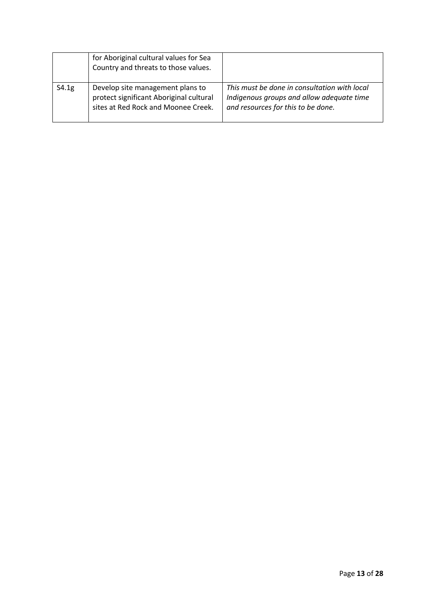|       | for Aboriginal cultural values for Sea<br>Country and threats to those values.                                     |                                                                                                                                 |
|-------|--------------------------------------------------------------------------------------------------------------------|---------------------------------------------------------------------------------------------------------------------------------|
| S4.1g | Develop site management plans to<br>protect significant Aboriginal cultural<br>sites at Red Rock and Moonee Creek. | This must be done in consultation with local<br>Indigenous groups and allow adequate time<br>and resources for this to be done. |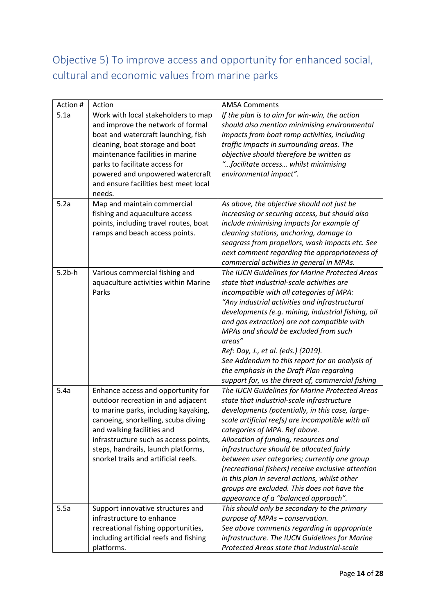# Objective 5) To improve access and opportunity for enhanced social, cultural and economic values from marine parks

| Action #  | Action                                 | <b>AMSA Comments</b>                                                                          |
|-----------|----------------------------------------|-----------------------------------------------------------------------------------------------|
| 5.1a      | Work with local stakeholders to map    | If the plan is to aim for win-win, the action                                                 |
|           | and improve the network of formal      | should also mention minimising environmental                                                  |
|           | boat and watercraft launching, fish    | impacts from boat ramp activities, including                                                  |
|           | cleaning, boat storage and boat        | traffic impacts in surrounding areas. The                                                     |
|           | maintenance facilities in marine       | objective should therefore be written as                                                      |
|           | parks to facilitate access for         | "facilitate access whilst minimising                                                          |
|           | powered and unpowered watercraft       | environmental impact".                                                                        |
|           | and ensure facilities best meet local  |                                                                                               |
|           | needs.                                 |                                                                                               |
| 5.2a      | Map and maintain commercial            | As above, the objective should not just be                                                    |
|           | fishing and aquaculture access         | increasing or securing access, but should also                                                |
|           | points, including travel routes, boat  | include minimising impacts for example of                                                     |
|           | ramps and beach access points.         | cleaning stations, anchoring, damage to                                                       |
|           |                                        | seagrass from propellors, wash impacts etc. See                                               |
|           |                                        | next comment regarding the appropriateness of                                                 |
|           |                                        | commercial activities in general in MPAs.                                                     |
| $5.2b$ -h | Various commercial fishing and         | The IUCN Guidelines for Marine Protected Areas                                                |
|           | aquaculture activities within Marine   | state that industrial-scale activities are                                                    |
|           | Parks                                  | incompatible with all categories of MPA:                                                      |
|           |                                        | "Any industrial activities and infrastructural                                                |
|           |                                        | developments (e.g. mining, industrial fishing, oil                                            |
|           |                                        | and gas extraction) are not compatible with                                                   |
|           |                                        | MPAs and should be excluded from such                                                         |
|           |                                        | areas"                                                                                        |
|           |                                        | Ref: Day, J., et al. (eds.) (2019).                                                           |
|           |                                        | See Addendum to this report for an analysis of                                                |
|           |                                        | the emphasis in the Draft Plan regarding<br>support for, vs the threat of, commercial fishing |
| 5.4a      | Enhance access and opportunity for     | The IUCN Guidelines for Marine Protected Areas                                                |
|           | outdoor recreation in and adjacent     | state that industrial-scale infrastructure                                                    |
|           | to marine parks, including kayaking,   | developments (potentially, in this case, large-                                               |
|           | canoeing, snorkelling, scuba diving    | scale artificial reefs) are incompatible with all                                             |
|           | and walking facilities and             | categories of MPA. Ref above.                                                                 |
|           | infrastructure such as access points,  | Allocation of funding, resources and                                                          |
|           | steps, handrails, launch platforms,    | infrastructure should be allocated fairly                                                     |
|           | snorkel trails and artificial reefs.   | between user categories; currently one group                                                  |
|           |                                        | (recreational fishers) receive exclusive attention                                            |
|           |                                        | in this plan in several actions, whilst other                                                 |
|           |                                        | groups are excluded. This does not have the                                                   |
|           |                                        | appearance of a "balanced approach".                                                          |
| 5.5a      | Support innovative structures and      | This should only be secondary to the primary                                                  |
|           | infrastructure to enhance              | purpose of MPAs - conservation.                                                               |
|           | recreational fishing opportunities,    | See above comments regarding in appropriate                                                   |
|           | including artificial reefs and fishing | infrastructure. The IUCN Guidelines for Marine                                                |
|           | platforms.                             | Protected Areas state that industrial-scale                                                   |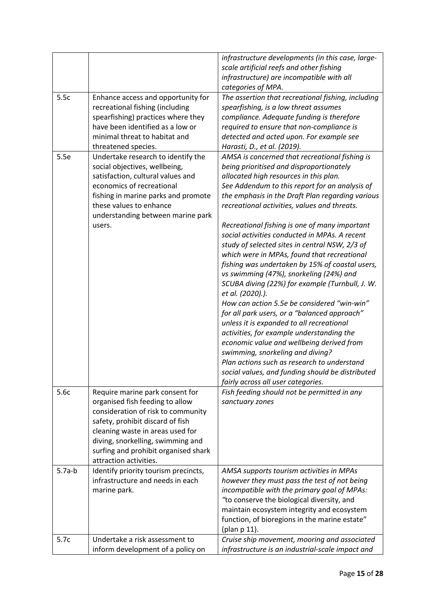|          |                                                                                                                                                                                                                                                                                         | infrastructure developments (in this case, large-<br>scale artificial reefs and other fishing<br>infrastructure) are incompatible with all<br>categories of MPA.                                                                                                                                                                                                                                                                                                                                                                                                                                                                                                                                                                                                                                                                                                                                                                                                                                                                                                                      |
|----------|-----------------------------------------------------------------------------------------------------------------------------------------------------------------------------------------------------------------------------------------------------------------------------------------|---------------------------------------------------------------------------------------------------------------------------------------------------------------------------------------------------------------------------------------------------------------------------------------------------------------------------------------------------------------------------------------------------------------------------------------------------------------------------------------------------------------------------------------------------------------------------------------------------------------------------------------------------------------------------------------------------------------------------------------------------------------------------------------------------------------------------------------------------------------------------------------------------------------------------------------------------------------------------------------------------------------------------------------------------------------------------------------|
| 5.5c     | Enhance access and opportunity for<br>recreational fishing (including<br>spearfishing) practices where they<br>have been identified as a low or<br>minimal threat to habitat and<br>threatened species.                                                                                 | The assertion that recreational fishing, including<br>spearfishing, is a low threat assumes<br>compliance. Adequate funding is therefore<br>required to ensure that non-compliance is<br>detected and acted upon. For example see<br>Harasti, D., et al. (2019).                                                                                                                                                                                                                                                                                                                                                                                                                                                                                                                                                                                                                                                                                                                                                                                                                      |
| 5.5e     | Undertake research to identify the<br>social objectives, wellbeing,<br>satisfaction, cultural values and<br>economics of recreational<br>fishing in marine parks and promote<br>these values to enhance<br>understanding between marine park<br>users.                                  | AMSA is concerned that recreational fishing is<br>being prioritised and disproportionately<br>allocated high resources in this plan.<br>See Addendum to this report for an analysis of<br>the emphasis in the Draft Plan regarding various<br>recreational activities, values and threats.<br>Recreational fishing is one of many important<br>social activities conducted in MPAs. A recent<br>study of selected sites in central NSW, 2/3 of<br>which were in MPAs, found that recreational<br>fishing was undertaken by 15% of coastal users,<br>vs swimming (47%), snorkeling (24%) and<br>SCUBA diving (22%) for example (Turnbull, J. W.<br>et al. (2020).).<br>How can action 5.5e be considered "win-win"<br>for all park users, or a "balanced approach"<br>unless it is expanded to all recreational<br>activities, for example understanding the<br>economic value and wellbeing derived from<br>swimming, snorkeling and diving?<br>Plan actions such as research to understand<br>social values, and funding should be distributed<br>fairly across all user categories. |
| 5.6c     | Require marine park consent for<br>organised fish feeding to allow<br>consideration of risk to community<br>safety, prohibit discard of fish<br>cleaning waste in areas used for<br>diving, snorkelling, swimming and<br>surfing and prohibit organised shark<br>attraction activities. | Fish feeding should not be permitted in any<br>sanctuary zones                                                                                                                                                                                                                                                                                                                                                                                                                                                                                                                                                                                                                                                                                                                                                                                                                                                                                                                                                                                                                        |
| $5.7a-b$ | Identify priority tourism precincts,<br>infrastructure and needs in each<br>marine park.                                                                                                                                                                                                | AMSA supports tourism activities in MPAs<br>however they must pass the test of not being<br>incompatible with the primary goal of MPAs:<br>"to conserve the biological diversity, and<br>maintain ecosystem integrity and ecosystem<br>function, of bioregions in the marine estate"<br>(plan p 11).                                                                                                                                                                                                                                                                                                                                                                                                                                                                                                                                                                                                                                                                                                                                                                                  |
| 5.7c     | Undertake a risk assessment to<br>inform development of a policy on                                                                                                                                                                                                                     | Cruise ship movement, mooring and associated<br>infrastructure is an industrial-scale impact and                                                                                                                                                                                                                                                                                                                                                                                                                                                                                                                                                                                                                                                                                                                                                                                                                                                                                                                                                                                      |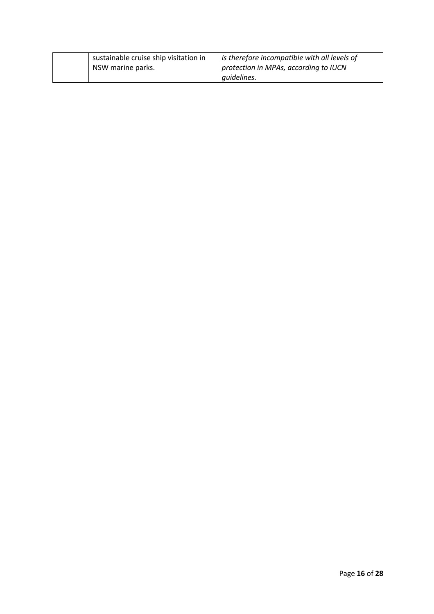| sustainable cruise ship visitation in<br>NSW marine parks. | is therefore incompatible with all levels of<br>protection in MPAs, according to IUCN |
|------------------------------------------------------------|---------------------------------------------------------------------------------------|
|                                                            | quidelines.                                                                           |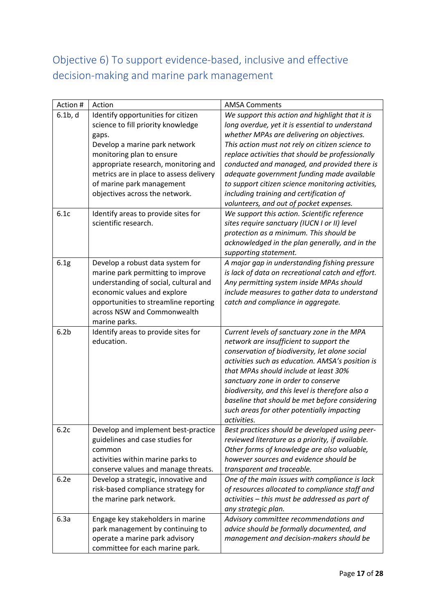# Objective 6) To support evidence-based, inclusive and effective decision-making and marine park management

| Action #         | Action                                  | <b>AMSA Comments</b>                                      |
|------------------|-----------------------------------------|-----------------------------------------------------------|
| $6.1b$ , d       | Identify opportunities for citizen      | We support this action and highlight that it is           |
|                  | science to fill priority knowledge      | long overdue, yet it is essential to understand           |
|                  | gaps.                                   | whether MPAs are delivering on objectives.                |
|                  | Develop a marine park network           | This action must not rely on citizen science to           |
|                  | monitoring plan to ensure               | replace activities that should be professionally          |
|                  | appropriate research, monitoring and    | conducted and managed, and provided there is              |
|                  | metrics are in place to assess delivery | adequate government funding made available                |
|                  | of marine park management               | to support citizen science monitoring activities,         |
|                  | objectives across the network.          | including training and certification of                   |
|                  |                                         | volunteers, and out of pocket expenses.                   |
| 6.1c             | Identify areas to provide sites for     | We support this action. Scientific reference              |
|                  | scientific research.                    | sites require sanctuary (IUCN I or II) level              |
|                  |                                         | protection as a minimum. This should be                   |
|                  |                                         | acknowledged in the plan generally, and in the            |
|                  |                                         | supporting statement.                                     |
| 6.1g             | Develop a robust data system for        | A major gap in understanding fishing pressure             |
|                  | marine park permitting to improve       | is lack of data on recreational catch and effort.         |
|                  | understanding of social, cultural and   | Any permitting system inside MPAs should                  |
|                  | economic values and explore             | include measures to gather data to understand             |
|                  | opportunities to streamline reporting   | catch and compliance in aggregate.                        |
|                  | across NSW and Commonwealth             |                                                           |
|                  | marine parks.                           |                                                           |
| 6.2 <sub>b</sub> | Identify areas to provide sites for     | Current levels of sanctuary zone in the MPA               |
|                  | education.                              | network are insufficient to support the                   |
|                  |                                         | conservation of biodiversity, let alone social            |
|                  |                                         | activities such as education. AMSA's position is          |
|                  |                                         | that MPAs should include at least 30%                     |
|                  |                                         | sanctuary zone in order to conserve                       |
|                  |                                         | biodiversity, and this level is therefore also a          |
|                  |                                         | baseline that should be met before considering            |
|                  |                                         | such areas for other potentially impacting<br>activities. |
| 6.2c             | Develop and implement best-practice     | Best practices should be developed using peer-            |
|                  | guidelines and case studies for         | reviewed literature as a priority, if available.          |
|                  | common                                  | Other forms of knowledge are also valuable,               |
|                  | activities within marine parks to       | however sources and evidence should be                    |
|                  | conserve values and manage threats.     | transparent and traceable.                                |
| 6.2e             | Develop a strategic, innovative and     | One of the main issues with compliance is lack            |
|                  | risk-based compliance strategy for      | of resources allocated to compliance staff and            |
|                  | the marine park network.                | activities - this must be addressed as part of            |
|                  |                                         | any strategic plan.                                       |
| 6.3a             | Engage key stakeholders in marine       | Advisory committee recommendations and                    |
|                  | park management by continuing to        | advice should be formally documented, and                 |
|                  | operate a marine park advisory          | management and decision-makers should be                  |
|                  | committee for each marine park.         |                                                           |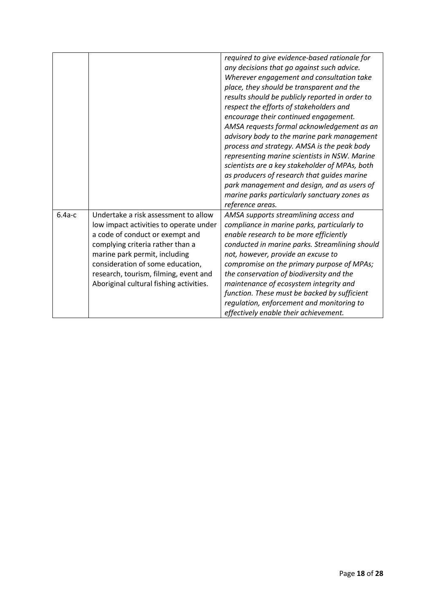|          |                                                                                                                                                                                                                                                                                                                | required to give evidence-based rationale for<br>any decisions that go against such advice.<br>Wherever engagement and consultation take<br>place, they should be transparent and the<br>results should be publicly reported in order to<br>respect the efforts of stakeholders and<br>encourage their continued engagement.<br>AMSA requests formal acknowledgement as an<br>advisory body to the marine park management<br>process and strategy. AMSA is the peak body<br>representing marine scientists in NSW. Marine<br>scientists are a key stakeholder of MPAs, both<br>as producers of research that guides marine<br>park management and design, and as users of<br>marine parks particularly sanctuary zones as<br>reference areas. |
|----------|----------------------------------------------------------------------------------------------------------------------------------------------------------------------------------------------------------------------------------------------------------------------------------------------------------------|-----------------------------------------------------------------------------------------------------------------------------------------------------------------------------------------------------------------------------------------------------------------------------------------------------------------------------------------------------------------------------------------------------------------------------------------------------------------------------------------------------------------------------------------------------------------------------------------------------------------------------------------------------------------------------------------------------------------------------------------------|
| $6.4a-c$ | Undertake a risk assessment to allow<br>low impact activities to operate under<br>a code of conduct or exempt and<br>complying criteria rather than a<br>marine park permit, including<br>consideration of some education,<br>research, tourism, filming, event and<br>Aboriginal cultural fishing activities. | AMSA supports streamlining access and<br>compliance in marine parks, particularly to<br>enable research to be more efficiently<br>conducted in marine parks. Streamlining should<br>not, however, provide an excuse to<br>compromise on the primary purpose of MPAs;<br>the conservation of biodiversity and the<br>maintenance of ecosystem integrity and<br>function. These must be backed by sufficient<br>regulation, enforcement and monitoring to<br>effectively enable their achievement.                                                                                                                                                                                                                                              |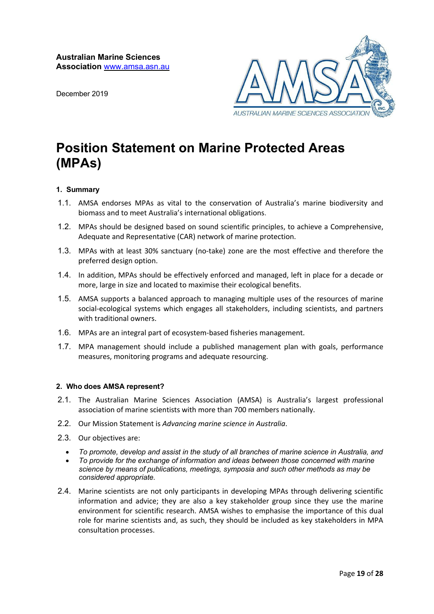December 2019



# **Position Statement on Marine Protected Areas (MPAs)**

### **1. Summary**

- 1.1. AMSA endorses MPAs as vital to the conservation of Australia's marine biodiversity and biomass and to meet Australia's international obligations.
- 1.2. MPAs should be designed based on sound scientific principles, to achieve a Comprehensive, Adequate and Representative (CAR) network of marine protection.
- 1.3. MPAs with at least 30% sanctuary (no-take) zone are the most effective and therefore the preferred design option.
- 1.4. In addition, MPAs should be effectively enforced and managed, left in place for a decade or more, large in size and located to maximise their ecological benefits.
- 1.5. AMSA supports a balanced approach to managing multiple uses of the resources of marine social-ecological systems which engages all stakeholders, including scientists, and partners with traditional owners.
- 1.6. MPAs are an integral part of ecosystem-based fisheries management.
- 1.7. MPA management should include a published management plan with goals, performance measures, monitoring programs and adequate resourcing.

### **2. Who does AMSA represent?**

- 2.1. The Australian Marine Sciences Association (AMSA) is Australia's largest professional association of marine scientists with more than 700 members nationally.
- 2.2. Our Mission Statement is *Advancing marine science in Australia*.
- 2.3. Our objectives are:
	- *To promote, develop and assist in the study of all branches of marine science in Australia, and*
	- *To provide for the exchange of information and ideas between those concerned with marine science by means of publications, meetings, symposia and such other methods as may be considered appropriate.*
- 2.4. Marine scientists are not only participants in developing MPAs through delivering scientific information and advice; they are also a key stakeholder group since they use the marine environment for scientific research. AMSA wishes to emphasise the importance of this dual role for marine scientists and, as such, they should be included as key stakeholders in MPA consultation processes.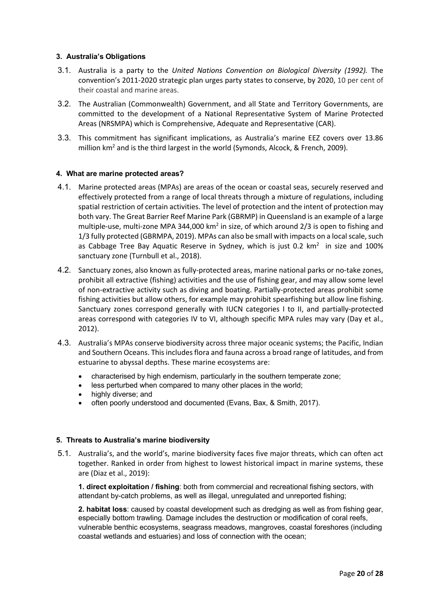### **3. Australia's Obligations**

- 3.1. Australia is a party to the *United Nations Convention on Biological Diversity (1992).* The convention's 2011-2020 strategic plan urges party states to conserve, by 2020, 10 per cent of their coastal and marine areas.
- 3.2. The Australian (Commonwealth) Government, and all State and Territory Governments, are committed to the development of a National Representative System of Marine Protected Areas (NRSMPA) which is Comprehensive, Adequate and Representative (CAR).
- 3.3. This commitment has significant implications, as Australia's marine EEZ covers over 13.86 million  $km^2$  and is the third largest in the world (Symonds, Alcock, & French, 2009).

### **4. What are marine protected areas?**

- 4.1. Marine protected areas (MPAs) are areas of the ocean or coastal seas, securely reserved and effectively protected from a range of local threats through a mixture of regulations, including spatial restriction of certain activities. The level of protection and the intent of protection may both vary. The Great Barrier Reef Marine Park (GBRMP) in Queensland is an example of a large multiple-use, multi-zone MPA 344,000 km<sup>2</sup> in size, of which around  $2/3$  is open to fishing and 1/3 fully protected (GBRMPA, 2019). MPAs can also be small with impacts on a local scale, such as Cabbage Tree Bay Aquatic Reserve in Sydney, which is just 0.2  $km^2$  in size and 100% sanctuary zone (Turnbull et al., 2018).
- 4.2. Sanctuary zones, also known as fully-protected areas, marine national parks or no-take zones, prohibit all extractive (fishing) activities and the use of fishing gear, and may allow some level of non-extractive activity such as diving and boating. Partially-protected areas prohibit some fishing activities but allow others, for example may prohibit spearfishing but allow line fishing. Sanctuary zones correspond generally with IUCN categories I to II, and partially-protected areas correspond with categories IV to VI, although specific MPA rules may vary (Day et al., 2012).
- 4.3. Australia's MPAs conserve biodiversity across three major oceanic systems; the Pacific, Indian and Southern Oceans. This includes flora and fauna across a broad range of latitudes, and from estuarine to abyssal depths. These marine ecosystems are:
	- characterised by high endemism, particularly in the southern temperate zone;
	- less perturbed when compared to many other places in the world;
	- highly diverse; and
	- often poorly understood and documented (Evans, Bax, & Smith, 2017).

### **5. Threats to Australia's marine biodiversity**

5.1. Australia's, and the world's, marine biodiversity faces five major threats, which can often act together. Ranked in order from highest to lowest historical impact in marine systems, these are (Diaz et al., 2019):

**1. direct exploitation / fishing**: both from commercial and recreational fishing sectors, with attendant by-catch problems, as well as illegal, unregulated and unreported fishing;

**2. habitat loss**: caused by coastal development such as dredging as well as from fishing gear, especially bottom trawling. Damage includes the destruction or modification of coral reefs, vulnerable benthic ecosystems, seagrass meadows, mangroves, coastal foreshores (including coastal wetlands and estuaries) and loss of connection with the ocean;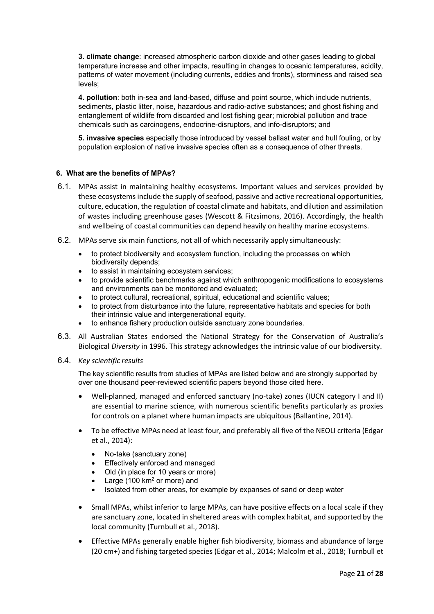**3. climate change**: increased atmospheric carbon dioxide and other gases leading to global temperature increase and other impacts, resulting in changes to oceanic temperatures, acidity, patterns of water movement (including currents, eddies and fronts), storminess and raised sea levels;

**4. pollution**: both in-sea and land-based, diffuse and point source, which include nutrients, sediments, plastic litter, noise, hazardous and radio-active substances; and ghost fishing and entanglement of wildlife from discarded and lost fishing gear; microbial pollution and trace chemicals such as carcinogens, endocrine-disruptors, and info-disruptors; and

**5. invasive species** especially those introduced by vessel ballast water and hull fouling, or by population explosion of native invasive species often as a consequence of other threats.

### **6. What are the benefits of MPAs?**

- 6.1. MPAs assist in maintaining healthy ecosystems. Important values and services provided by these ecosystems include the supply of seafood, passive and active recreational opportunities, culture, education, the regulation of coastal climate and habitats, and dilution and assimilation of wastes including greenhouse gases (Wescott & Fitzsimons, 2016). Accordingly, the health and wellbeing of coastal communities can depend heavily on healthy marine ecosystems.
- 6.2. MPAs serve six main functions, not all of which necessarily apply simultaneously:
	- to protect biodiversity and ecosystem function, including the processes on which biodiversity depends;
	- to assist in maintaining ecosystem services;
	- to provide scientific benchmarks against which anthropogenic modifications to ecosystems and environments can be monitored and evaluated;
	- to protect cultural, recreational, spiritual, educational and scientific values;
	- to protect from disturbance into the future, representative habitats and species for both their intrinsic value and intergenerational equity.
	- to enhance fishery production outside sanctuary zone boundaries.
- 6.3. All Australian States endorsed the National Strategy for the Conservation of Australia's Biological *Diversity* in 1996. This strategy acknowledges the intrinsic value of our biodiversity.
- 6.4. *Key scientific results*

The key scientific results from studies of MPAs are listed below and are strongly supported by over one thousand peer-reviewed scientific papers beyond those cited here.

- Well-planned, managed and enforced sanctuary (no-take) zones (IUCN category I and II) are essential to marine science, with numerous scientific benefits particularly as proxies for controls on a planet where human impacts are ubiquitous (Ballantine, 2014).
- To be effective MPAs need at least four, and preferably all five of the NEOLI criteria (Edgar et al., 2014):
	- No-take (sanctuary zone)
	- Effectively enforced and managed
	- Old (in place for 10 years or more)
	- Large (100  $km^2$  or more) and
	- Isolated from other areas, for example by expanses of sand or deep water
- Small MPAs, whilst inferior to large MPAs, can have positive effects on a local scale if they are sanctuary zone, located in sheltered areas with complex habitat, and supported by the local community (Turnbull et al., 2018).
- Effective MPAs generally enable higher fish biodiversity, biomass and abundance of large (20 cm+) and fishing targeted species (Edgar et al., 2014; Malcolm et al., 2018; Turnbull et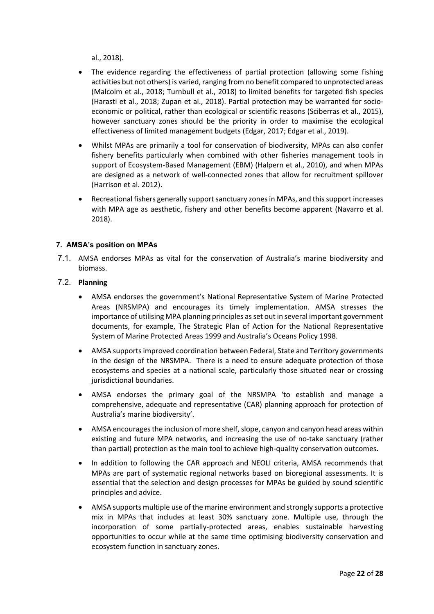al., 2018).

- The evidence regarding the effectiveness of partial protection (allowing some fishing activities but not others) is varied, ranging from no benefit compared to unprotected areas (Malcolm et al., 2018; Turnbull et al., 2018) to limited benefits for targeted fish species (Harasti et al., 2018; Zupan et al., 2018). Partial protection may be warranted for socioeconomic or political, rather than ecological or scientific reasons (Sciberras et al., 2015), however sanctuary zones should be the priority in order to maximise the ecological effectiveness of limited management budgets (Edgar, 2017; Edgar et al., 2019).
- Whilst MPAs are primarily a tool for conservation of biodiversity, MPAs can also confer fishery benefits particularly when combined with other fisheries management tools in support of Ecosystem-Based Management (EBM) (Halpern et al., 2010), and when MPAs are designed as a network of well-connected zones that allow for recruitment spillover (Harrison et al. 2012).
- Recreational fishers generally support sanctuary zones in MPAs, and this support increases with MPA age as aesthetic, fishery and other benefits become apparent (Navarro et al. 2018).

### **7. AMSA's position on MPAs**

7.1. AMSA endorses MPAs as vital for the conservation of Australia's marine biodiversity and biomass.

### 7.2. **Planning**

- AMSA endorses the government's National Representative System of Marine Protected Areas (NRSMPA) and encourages its timely implementation. AMSA stresses the importance of utilising MPA planning principles as set out in several important government documents, for example, The Strategic Plan of Action for the National Representative System of Marine Protected Areas 1999 and Australia's Oceans Policy 1998.
- AMSA supports improved coordination between Federal, State and Territory governments in the design of the NRSMPA. There is a need to ensure adequate protection of those ecosystems and species at a national scale, particularly those situated near or crossing jurisdictional boundaries.
- AMSA endorses the primary goal of the NRSMPA 'to establish and manage a comprehensive, adequate and representative (CAR) planning approach for protection of Australia's marine biodiversity'.
- AMSA encourages the inclusion of more shelf, slope, canyon and canyon head areas within existing and future MPA networks, and increasing the use of no-take sanctuary (rather than partial) protection as the main tool to achieve high-quality conservation outcomes.
- In addition to following the CAR approach and NEOLI criteria, AMSA recommends that MPAs are part of systematic regional networks based on bioregional assessments. It is essential that the selection and design processes for MPAs be guided by sound scientific principles and advice.
- AMSA supports multiple use of the marine environment and strongly supports a protective mix in MPAs that includes at least 30% sanctuary zone. Multiple use, through the incorporation of some partially-protected areas, enables sustainable harvesting opportunities to occur while at the same time optimising biodiversity conservation and ecosystem function in sanctuary zones.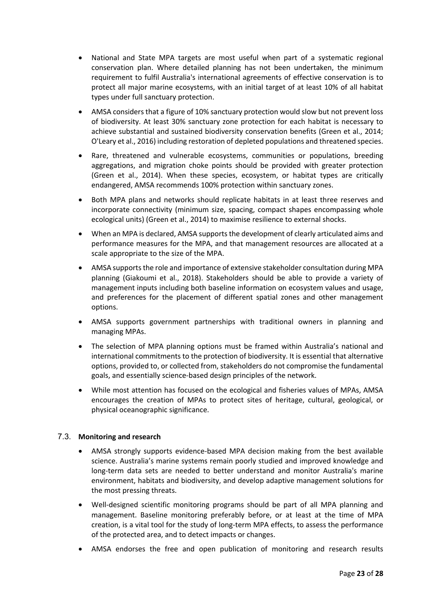- National and State MPA targets are most useful when part of a systematic regional conservation plan. Where detailed planning has not been undertaken, the minimum requirement to fulfil Australia's international agreements of effective conservation is to protect all major marine ecosystems, with an initial target of at least 10% of all habitat types under full sanctuary protection.
- AMSA considers that a figure of 10% sanctuary protection would slow but not prevent loss of biodiversity. At least 30% sanctuary zone protection for each habitat is necessary to achieve substantial and sustained biodiversity conservation benefits (Green et al., 2014; O'Leary et al., 2016) including restoration of depleted populations and threatened species.
- Rare, threatened and vulnerable ecosystems, communities or populations, breeding aggregations, and migration choke points should be provided with greater protection (Green et al., 2014). When these species, ecosystem, or habitat types are critically endangered, AMSA recommends 100% protection within sanctuary zones.
- Both MPA plans and networks should replicate habitats in at least three reserves and incorporate connectivity (minimum size, spacing, compact shapes encompassing whole ecological units) (Green et al., 2014) to maximise resilience to external shocks.
- When an MPA is declared, AMSA supports the development of clearly articulated aims and performance measures for the MPA, and that management resources are allocated at a scale appropriate to the size of the MPA.
- AMSA supports the role and importance of extensive stakeholder consultation during MPA planning (Giakoumi et al., 2018). Stakeholders should be able to provide a variety of management inputs including both baseline information on ecosystem values and usage, and preferences for the placement of different spatial zones and other management options.
- AMSA supports government partnerships with traditional owners in planning and managing MPAs.
- The selection of MPA planning options must be framed within Australia's national and international commitments to the protection of biodiversity. It is essential that alternative options, provided to, or collected from, stakeholders do not compromise the fundamental goals, and essentially science-based design principles of the network.
- While most attention has focused on the ecological and fisheries values of MPAs, AMSA encourages the creation of MPAs to protect sites of heritage, cultural, geological, or physical oceanographic significance.

### 7.3. **Monitoring and research**

- AMSA strongly supports evidence-based MPA decision making from the best available science. Australia's marine systems remain poorly studied and improved knowledge and long-term data sets are needed to better understand and monitor Australia's marine environment, habitats and biodiversity, and develop adaptive management solutions for the most pressing threats.
- Well-designed scientific monitoring programs should be part of all MPA planning and management. Baseline monitoring preferably before, or at least at the time of MPA creation, is a vital tool for the study of long-term MPA effects, to assess the performance of the protected area, and to detect impacts or changes.
- AMSA endorses the free and open publication of monitoring and research results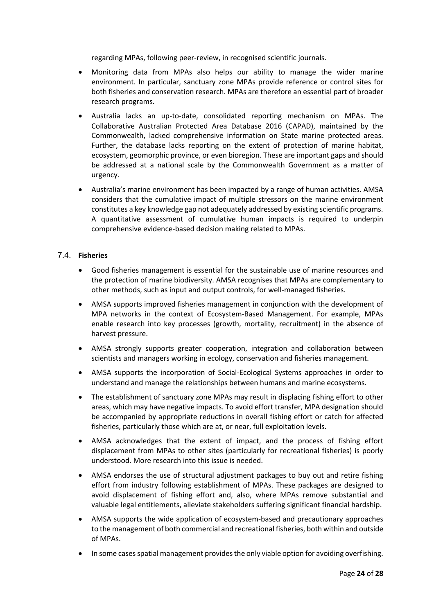regarding MPAs, following peer-review, in recognised scientific journals.

- Monitoring data from MPAs also helps our ability to manage the wider marine environment. In particular, sanctuary zone MPAs provide reference or control sites for both fisheries and conservation research. MPAs are therefore an essential part of broader research programs.
- Australia lacks an up-to-date, consolidated reporting mechanism on MPAs. The Collaborative Australian Protected Area Database 2016 (CAPAD), maintained by the Commonwealth, lacked comprehensive information on State marine protected areas. Further, the database lacks reporting on the extent of protection of marine habitat, ecosystem, geomorphic province, or even bioregion. These are important gaps and should be addressed at a national scale by the Commonwealth Government as a matter of urgency.
- Australia's marine environment has been impacted by a range of human activities. AMSA considers that the cumulative impact of multiple stressors on the marine environment constitutes a key knowledge gap not adequately addressed by existing scientific programs. A quantitative assessment of cumulative human impacts is required to underpin comprehensive evidence-based decision making related to MPAs.

### 7.4. **Fisheries**

- Good fisheries management is essential for the sustainable use of marine resources and the protection of marine biodiversity. AMSA recognises that MPAs are complementary to other methods, such as input and output controls, for well-managed fisheries.
- AMSA supports improved fisheries management in conjunction with the development of MPA networks in the context of Ecosystem-Based Management. For example, MPAs enable research into key processes (growth, mortality, recruitment) in the absence of harvest pressure.
- AMSA strongly supports greater cooperation, integration and collaboration between scientists and managers working in ecology, conservation and fisheries management.
- AMSA supports the incorporation of Social-Ecological Systems approaches in order to understand and manage the relationships between humans and marine ecosystems.
- The establishment of sanctuary zone MPAs may result in displacing fishing effort to other areas, which may have negative impacts. To avoid effort transfer, MPA designation should be accompanied by appropriate reductions in overall fishing effort or catch for affected fisheries, particularly those which are at, or near, full exploitation levels.
- AMSA acknowledges that the extent of impact, and the process of fishing effort displacement from MPAs to other sites (particularly for recreational fisheries) is poorly understood. More research into this issue is needed.
- AMSA endorses the use of structural adjustment packages to buy out and retire fishing effort from industry following establishment of MPAs. These packages are designed to avoid displacement of fishing effort and, also, where MPAs remove substantial and valuable legal entitlements, alleviate stakeholders suffering significant financial hardship.
- AMSA supports the wide application of ecosystem-based and precautionary approaches to the management of both commercial and recreational fisheries, both within and outside of MPAs.
- In some cases spatial management provides the only viable option for avoiding overfishing.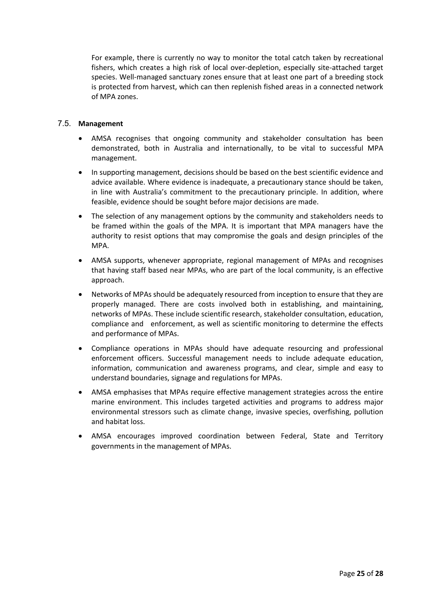For example, there is currently no way to monitor the total catch taken by recreational fishers, which creates a high risk of local over-depletion, especially site-attached target species. Well-managed sanctuary zones ensure that at least one part of a breeding stock is protected from harvest, which can then replenish fished areas in a connected network of MPA zones.

### 7.5. **Management**

- AMSA recognises that ongoing community and stakeholder consultation has been demonstrated, both in Australia and internationally, to be vital to successful MPA management.
- In supporting management, decisions should be based on the best scientific evidence and advice available. Where evidence is inadequate, a precautionary stance should be taken, in line with Australia's commitment to the precautionary principle. In addition, where feasible, evidence should be sought before major decisions are made.
- The selection of any management options by the community and stakeholders needs to be framed within the goals of the MPA. It is important that MPA managers have the authority to resist options that may compromise the goals and design principles of the MPA.
- AMSA supports, whenever appropriate, regional management of MPAs and recognises that having staff based near MPAs, who are part of the local community, is an effective approach.
- Networks of MPAs should be adequately resourced from inception to ensure that they are properly managed. There are costs involved both in establishing, and maintaining, networks of MPAs. These include scientific research, stakeholder consultation, education, compliance and enforcement, as well as scientific monitoring to determine the effects and performance of MPAs.
- Compliance operations in MPAs should have adequate resourcing and professional enforcement officers. Successful management needs to include adequate education, information, communication and awareness programs, and clear, simple and easy to understand boundaries, signage and regulations for MPAs.
- AMSA emphasises that MPAs require effective management strategies across the entire marine environment. This includes targeted activities and programs to address major environmental stressors such as climate change, invasive species, overfishing, pollution and habitat loss.
- AMSA encourages improved coordination between Federal, State and Territory governments in the management of MPAs.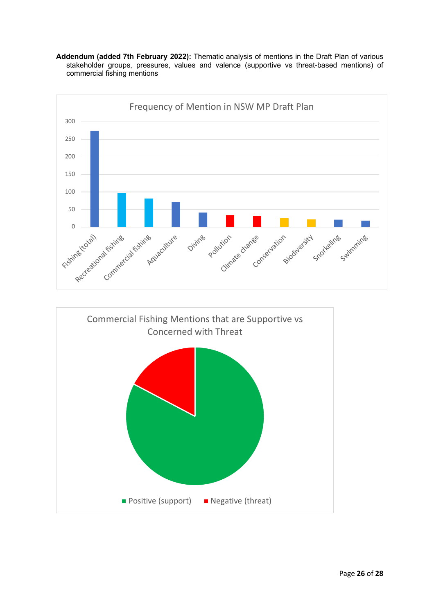



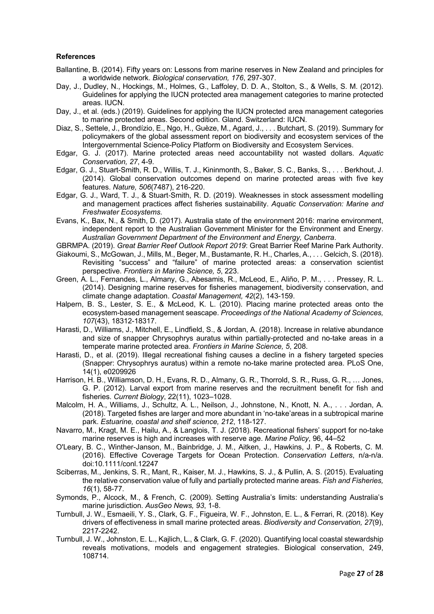#### **References**

- Ballantine, B. (2014). Fifty years on: Lessons from marine reserves in New Zealand and principles for a worldwide network. *Biological conservation, 176*, 297-307.
- Day, J., Dudley, N., Hockings, M., Holmes, G., Laffoley, D. D. A., Stolton, S., & Wells, S. M. (2012). Guidelines for applying the IUCN protected area management categories to marine protected areas. IUCN.
- Day, J., et al. (eds.) (2019). Guidelines for applying the IUCN protected area management categories to marine protected areas. Second edition. Gland. Switzerland: IUCN.
- Diaz, S., Settele, J., Brondízio, E., Ngo, H., Guèze, M., Agard, J., . . . Butchart, S. (2019). Summary for policymakers of the global assessment report on biodiversity and ecosystem services of the Intergovernmental Science-Policy Platform on Biodiversity and Ecosystem Services.
- Edgar, G. J. (2017). Marine protected areas need accountability not wasted dollars. *Aquatic Conservation, 27*, 4-9.
- Edgar, G. J., Stuart-Smith, R. D., Willis, T. J., Kininmonth, S., Baker, S. C., Banks, S., . . . Berkhout, J. (2014). Global conservation outcomes depend on marine protected areas with five key features. *Nature, 506*(7487), 216-220.
- Edgar, G. J., Ward, T. J., & Stuart-Smith, R. D. (2019). Weaknesses in stock assessment modelling and management practices affect fisheries sustainability. *Aquatic Conservation: Marine and Freshwater Ecosystems*.
- Evans, K., Bax, N., & Smith, D. (2017). Australia state of the environment 2016: marine environment, independent report to the Australian Government Minister for the Environment and Energy. *Australian Government Department of the Environment and Energy, Canberra*.
- GBRMPA. (2019). *Great Barrier Reef Outlook Report 2019*: Great Barrier Reef Marine Park Authority.
- Giakoumi, S., McGowan, J., Mills, M., Beger, M., Bustamante, R. H., Charles, A., . . . Gelcich, S. (2018). Revisiting "success" and "failure" of marine protected areas: a conservation scientist perspective. *Frontiers in Marine Science, 5*, 223.
- Green, A. L., Fernandes, L., Almany, G., Abesamis, R., McLeod, E., Aliño, P. M., . . . Pressey, R. L. (2014). Designing marine reserves for fisheries management, biodiversity conservation, and climate change adaptation. *Coastal Management, 42*(2), 143-159.
- Halpern, B. S., Lester, S. E., & McLeod, K. L. (2010). Placing marine protected areas onto the ecosystem-based management seascape. *Proceedings of the National Academy of Sciences, 107*(43), 18312-18317.
- Harasti, D., Williams, J., Mitchell, E., Lindfield, S., & Jordan, A. (2018). Increase in relative abundance and size of snapper Chrysophrys auratus within partially-protected and no-take areas in a temperate marine protected area. *Frontiers in Marine Science, 5*, 208.
- Harasti, D., et al. (2019). Illegal recreational fishing causes a decline in a fishery targeted species (Snapper: Chrysophrys auratus) within a remote no-take marine protected area. PLoS One, 14(1), e0209926
- Harrison, H. B., Williamson, D. H., Evans, R. D., Almany, G. R., Thorrold, S. R., Russ, G. R., … Jones, G. P. (2012). Larval export from marine reserves and the recruitment benefit for fish and fisheries. *Current Biology*, 22(11), 1023–1028.
- Malcolm, H. A., Williams, J., Schultz, A. L., Neilson, J., Johnstone, N., Knott, N. A., . . . Jordan, A. (2018). Targeted fishes are larger and more abundant in 'no-take'areas in a subtropical marine park. *Estuarine, coastal and shelf science, 212*, 118-127.
- Navarro, M., Kragt, M. E., Hailu, A., & Langlois, T. J. (2018). Recreational fishers' support for no-take marine reserves is high and increases with reserve age. *Marine Policy*, 96, 44–52
- O'Leary, B. C., Winther-Janson, M., Bainbridge, J. M., Aitken, J., Hawkins, J. P., & Roberts, C. M. (2016). Effective Coverage Targets for Ocean Protection. *Conservation Letters*, n/a-n/a. doi:10.1111/conl.12247
- Sciberras, M., Jenkins, S. R., Mant, R., Kaiser, M. J., Hawkins, S. J., & Pullin, A. S. (2015). Evaluating the relative conservation value of fully and partially protected marine areas. *Fish and Fisheries, 16*(1), 58-77.
- Symonds, P., Alcock, M., & French, C. (2009). Setting Australia's limits: understanding Australia's marine jurisdiction. *AusGeo News, 93*, 1-8.
- Turnbull, J. W., Esmaeili, Y. S., Clark, G. F., Figueira, W. F., Johnston, E. L., & Ferrari, R. (2018). Key drivers of effectiveness in small marine protected areas. *Biodiversity and Conservation, 27*(9), 2217-2242.
- Turnbull, J. W., Johnston, E. L., Kajlich, L., & Clark, G. F. (2020). Quantifying local coastal stewardship reveals motivations, models and engagement strategies. Biological conservation, 249, 108714.